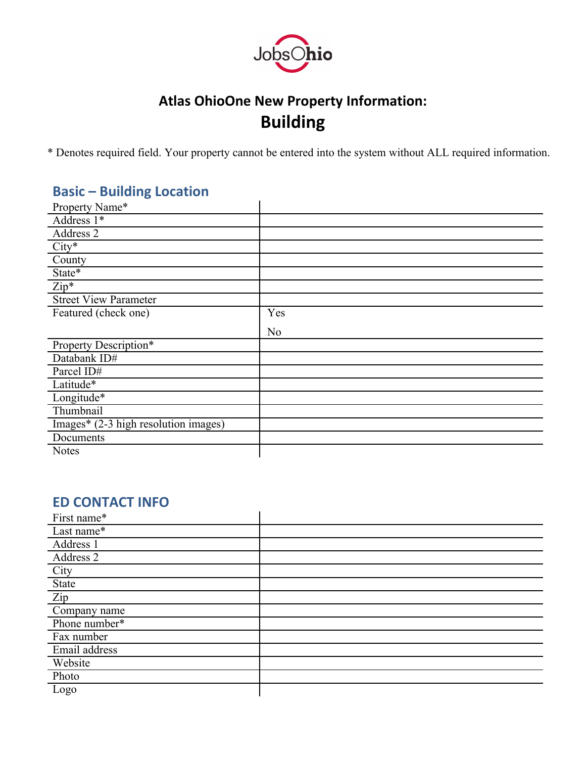

# **Atlas OhioOne New Property Information: Building**

\* Denotes required field. Your property cannot be entered into the system without ALL required information.

## **Basic – Building Location**

| Property Name*                       |                |
|--------------------------------------|----------------|
| Address $1*$                         |                |
| Address 2                            |                |
| $City*$                              |                |
| County                               |                |
| State*                               |                |
| $Zip*$                               |                |
| <b>Street View Parameter</b>         |                |
| Featured (check one)                 | Yes            |
|                                      | N <sub>o</sub> |
| Property Description*                |                |
| Databank ID#                         |                |
| Parcel ID#                           |                |
| Latitude*                            |                |
| Longitude*                           |                |
| Thumbnail                            |                |
| Images* (2-3 high resolution images) |                |
| Documents                            |                |
| <b>Notes</b>                         |                |

## **ED CONTACT INFO**

| First name*   |  |
|---------------|--|
| Last name*    |  |
| Address 1     |  |
| Address 2     |  |
| City          |  |
| <b>State</b>  |  |
| Zip           |  |
| Company name  |  |
| Phone number* |  |
| Fax number    |  |
| Email address |  |
| Website       |  |
| Photo         |  |
| Logo          |  |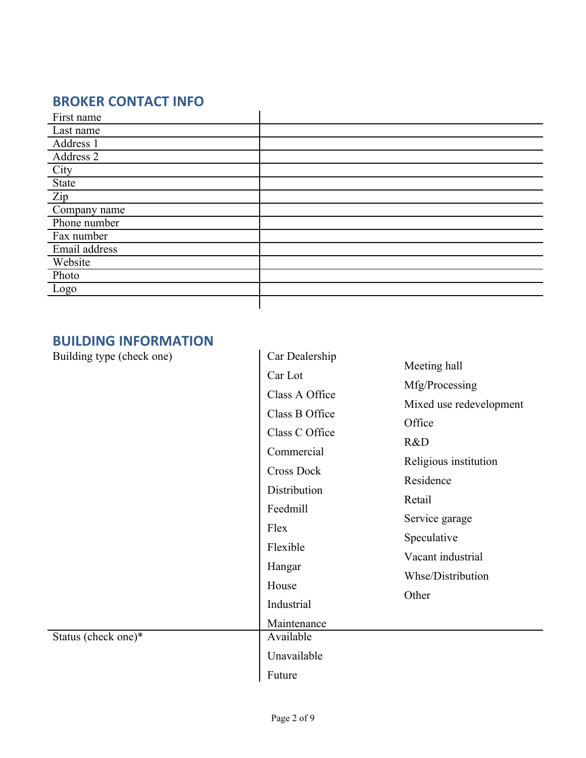## **BROKER CONTACT INFO**

| First name    |  |
|---------------|--|
| Last name     |  |
| Address 1     |  |
| Address 2     |  |
| City          |  |
| State         |  |
| Zip           |  |
| Company name  |  |
| Phone number  |  |
| Fax number    |  |
| Email address |  |
| Website       |  |
| Photo         |  |
| Logo          |  |
|               |  |

## **BUILDING INFORMATION**

| Building type (check one) | Car Dealership                                              |                          |
|---------------------------|-------------------------------------------------------------|--------------------------|
|                           | Car Lot                                                     | Meeting hall             |
|                           | Class A Office                                              | Mfg/Processing           |
|                           | Class B Office                                              | Mixed use redevelopment  |
|                           | Class C Office                                              | Office                   |
|                           | Commercial                                                  | R&D                      |
|                           | <b>Cross Dock</b>                                           | Religious institution    |
|                           | Distribution                                                | Residence                |
|                           | Feedmill<br>Flex                                            | Retail<br>Service garage |
|                           |                                                             |                          |
|                           | Vacant industrial<br>Hangar<br>House<br>Other<br>Industrial | Whse/Distribution        |
|                           |                                                             |                          |
|                           |                                                             |                          |
|                           | Maintenance                                                 |                          |
| Status (check one)*       | Available                                                   |                          |
|                           | Unavailable                                                 |                          |
|                           | Future                                                      |                          |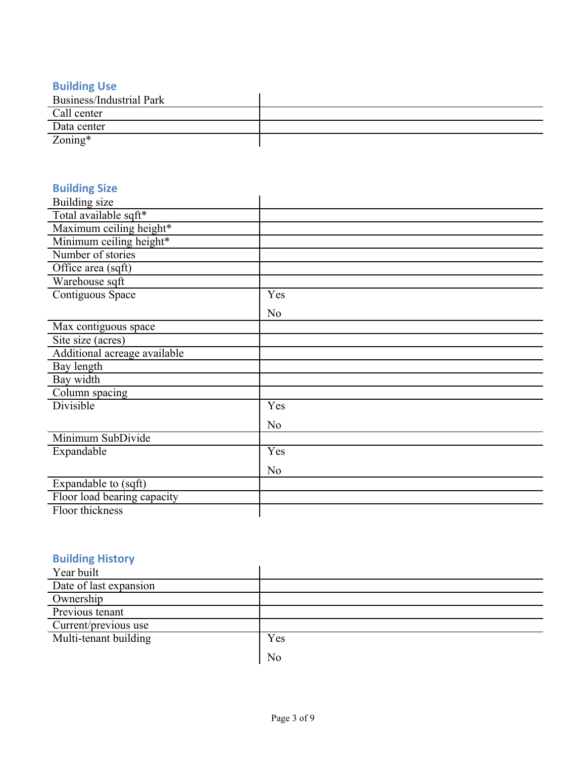#### **Building Use**

| <b>Business/Industrial Park</b> |  |
|---------------------------------|--|
| Call center                     |  |
| Data center                     |  |
| $\text{Zoning}^*$               |  |

## **Building Size**

| Building size                |                |
|------------------------------|----------------|
| Total available sqft*        |                |
| Maximum ceiling height*      |                |
| Minimum ceiling height*      |                |
| Number of stories            |                |
| Office area (sqft)           |                |
| Warehouse sqft               |                |
| Contiguous Space             | Yes            |
|                              | N <sub>o</sub> |
| Max contiguous space         |                |
| Site size (acres)            |                |
| Additional acreage available |                |
| Bay length                   |                |
| Bay width                    |                |
| Column spacing               |                |
| <b>Divisible</b>             | Yes            |
|                              | N <sub>0</sub> |
| Minimum SubDivide            |                |
| Expandable                   | Yes            |
|                              | N <sub>o</sub> |
| Expandable to (sqft)         |                |
| Floor load bearing capacity  |                |
| Floor thickness              |                |

#### **Building History**

| Year built             |     |
|------------------------|-----|
| Date of last expansion |     |
| Ownership              |     |
| Previous tenant        |     |
| Current/previous use   |     |
| Multi-tenant building  | Yes |
|                        | No  |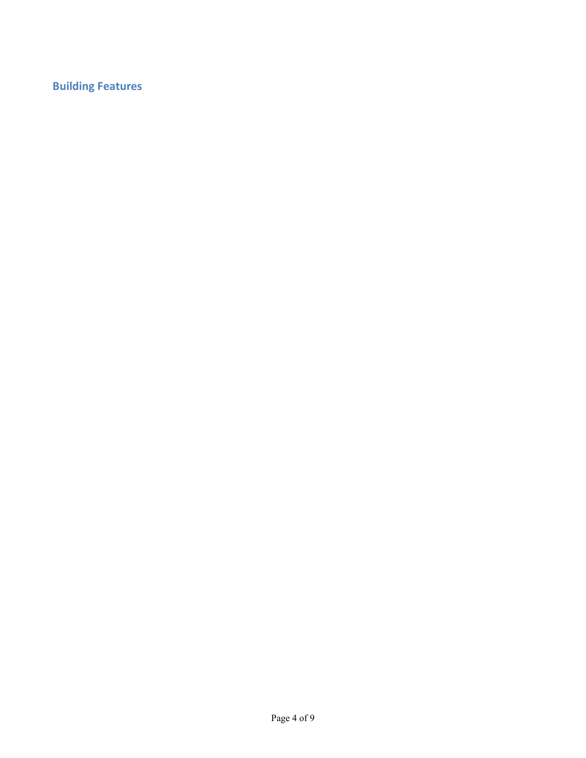## **Building Features**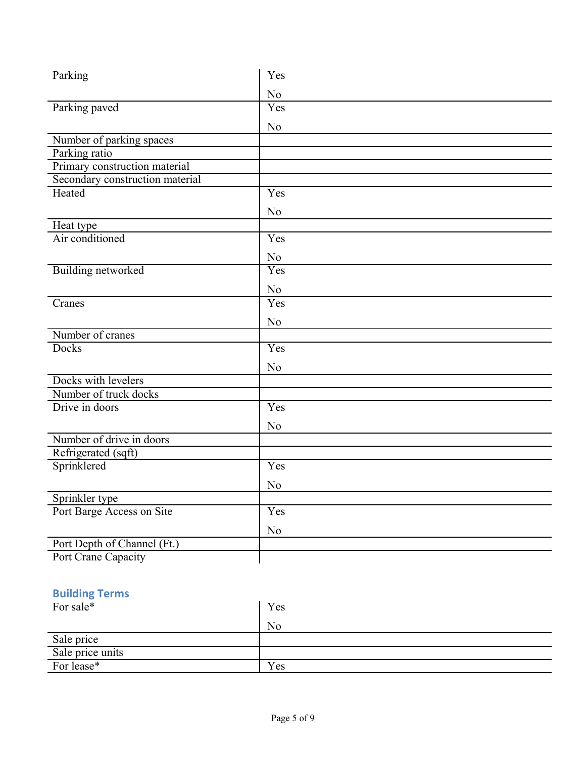| Parking                         | Yes            |
|---------------------------------|----------------|
|                                 | N <sub>0</sub> |
| Parking paved                   | Yes            |
|                                 | N <sub>o</sub> |
| Number of parking spaces        |                |
| Parking ratio                   |                |
| Primary construction material   |                |
| Secondary construction material |                |
| Heated                          | Yes            |
|                                 | N <sub>o</sub> |
| Heat type                       |                |
| Air conditioned                 | Yes            |
|                                 | N <sub>0</sub> |
| <b>Building networked</b>       | Yes            |
|                                 | N <sub>0</sub> |
| Cranes                          | Yes            |
|                                 | N <sub>o</sub> |
| Number of cranes                |                |
| <b>Docks</b>                    | Yes            |
|                                 | N <sub>o</sub> |
| Docks with levelers             |                |
| Number of truck docks           |                |
| Drive in doors                  | Yes            |
|                                 | N <sub>0</sub> |
| Number of drive in doors        |                |
| Refrigerated (sqft)             |                |
| Sprinklered                     | Yes            |
|                                 | N <sub>0</sub> |
| Sprinkler type                  |                |
| Port Barge Access on Site       | Yes            |
|                                 | N <sub>0</sub> |
| Port Depth of Channel (Ft.)     |                |
| Port Crane Capacity             |                |
|                                 |                |

## **Building Terms**

| For sale*        | Yes |
|------------------|-----|
|                  | No  |
| Sale price       |     |
| Sale price units |     |
| For lease*       | Yes |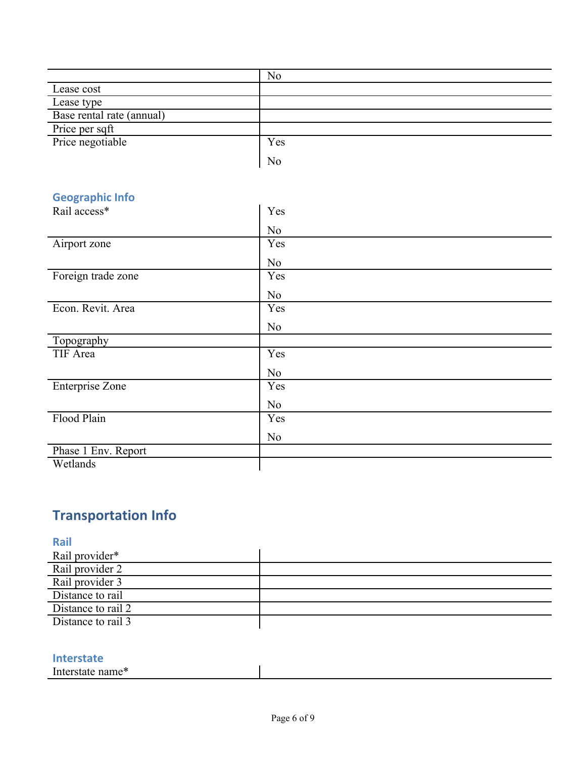|                           | No             |
|---------------------------|----------------|
| Lease cost                |                |
| Lease type                |                |
| Base rental rate (annual) |                |
| Price per sqft            |                |
| Price negotiable          | Yes            |
|                           | N <sub>0</sub> |

## **Geographic Info**

| Rail access*        | Yes            |
|---------------------|----------------|
|                     | N <sub>o</sub> |
| Airport zone        | Yes            |
|                     | No             |
| Foreign trade zone  | Yes            |
|                     | No             |
| Econ. Revit. Area   | Yes            |
|                     | N <sub>o</sub> |
| Topography          |                |
| TIF Area            | Yes            |
|                     | N <sub>o</sub> |
| Enterprise Zone     | Yes            |
|                     | N <sub>o</sub> |
| Flood Plain         | Yes            |
|                     | N <sub>0</sub> |
| Phase 1 Env. Report |                |
| Wetlands            |                |

# **Transportation Info**

| Rail               |  |
|--------------------|--|
| Rail provider*     |  |
| Rail provider 2    |  |
| Rail provider 3    |  |
| Distance to rail   |  |
| Distance to rail 2 |  |
| Distance to rail 3 |  |

#### **Interstate**

Interstate name\*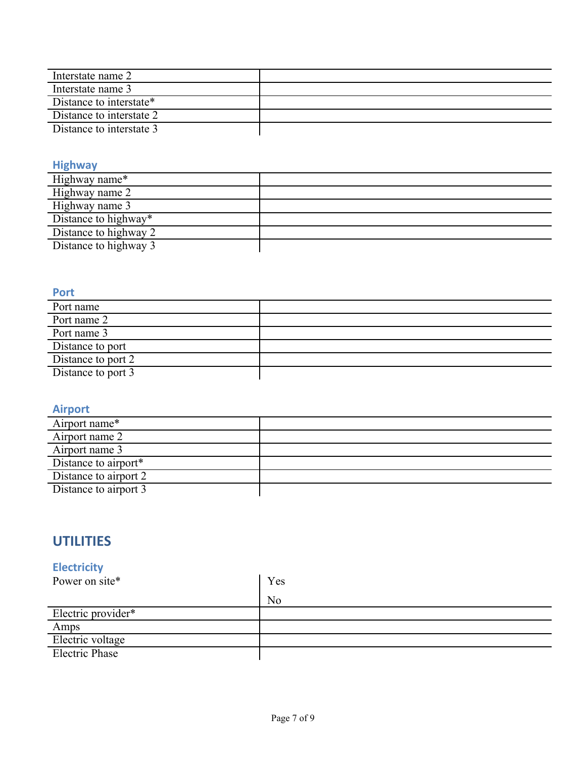| Interstate name 2        |  |
|--------------------------|--|
| Interstate name 3        |  |
| Distance to interstate*  |  |
| Distance to interstate 2 |  |
| Distance to interstate 3 |  |

#### **Highway**

#### **Port**

| .                  |  |
|--------------------|--|
| Port name          |  |
| Port name 2        |  |
| Port name 3        |  |
| Distance to port   |  |
| Distance to port 2 |  |
| Distance to port 3 |  |
|                    |  |

### **Airport**

| Airport name*         |  |
|-----------------------|--|
| Airport name 2        |  |
| Airport name 3        |  |
| Distance to airport*  |  |
| Distance to airport 2 |  |
| Distance to airport 3 |  |
|                       |  |

## **UTILITIES**

## **Electricity**

| Power on site*        | Yes |
|-----------------------|-----|
|                       | No  |
| Electric provider*    |     |
| Amps                  |     |
| Electric voltage      |     |
| <b>Electric Phase</b> |     |